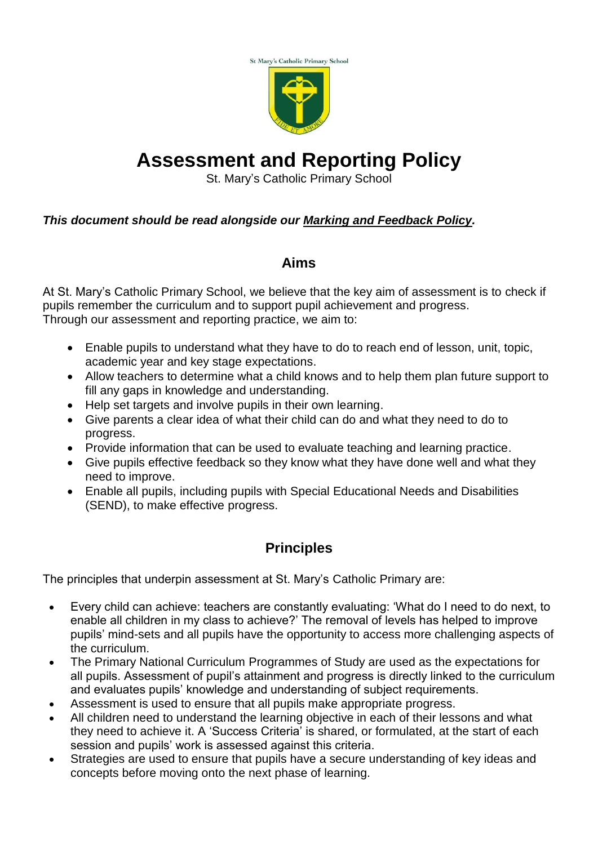St Mary's Catholic Primary School



# **Assessment and Reporting Policy**

St. Mary's Catholic Primary School

### *This document should be read alongside our Marking and Feedback Policy.*

### **Aims**

At St. Mary's Catholic Primary School, we believe that the key aim of assessment is to check if pupils remember the curriculum and to support pupil achievement and progress. Through our assessment and reporting practice, we aim to:

- Enable pupils to understand what they have to do to reach end of lesson, unit, topic, academic year and key stage expectations.
- Allow teachers to determine what a child knows and to help them plan future support to fill any gaps in knowledge and understanding.
- Help set targets and involve pupils in their own learning.
- Give parents a clear idea of what their child can do and what they need to do to progress.
- Provide information that can be used to evaluate teaching and learning practice.
- Give pupils effective feedback so they know what they have done well and what they need to improve.
- Enable all pupils, including pupils with Special Educational Needs and Disabilities (SEND), to make effective progress.

# **Principles**

The principles that underpin assessment at St. Mary's Catholic Primary are:

- Every child can achieve: teachers are constantly evaluating: 'What do I need to do next, to enable all children in my class to achieve?' The removal of levels has helped to improve pupils' mind-sets and all pupils have the opportunity to access more challenging aspects of the curriculum.
- The Primary National Curriculum Programmes of Study are used as the expectations for all pupils. Assessment of pupil's attainment and progress is directly linked to the curriculum and evaluates pupils' knowledge and understanding of subject requirements.
- Assessment is used to ensure that all pupils make appropriate progress.
- All children need to understand the learning objective in each of their lessons and what they need to achieve it. A 'Success Criteria' is shared, or formulated, at the start of each session and pupils' work is assessed against this criteria.
- Strategies are used to ensure that pupils have a secure understanding of key ideas and concepts before moving onto the next phase of learning.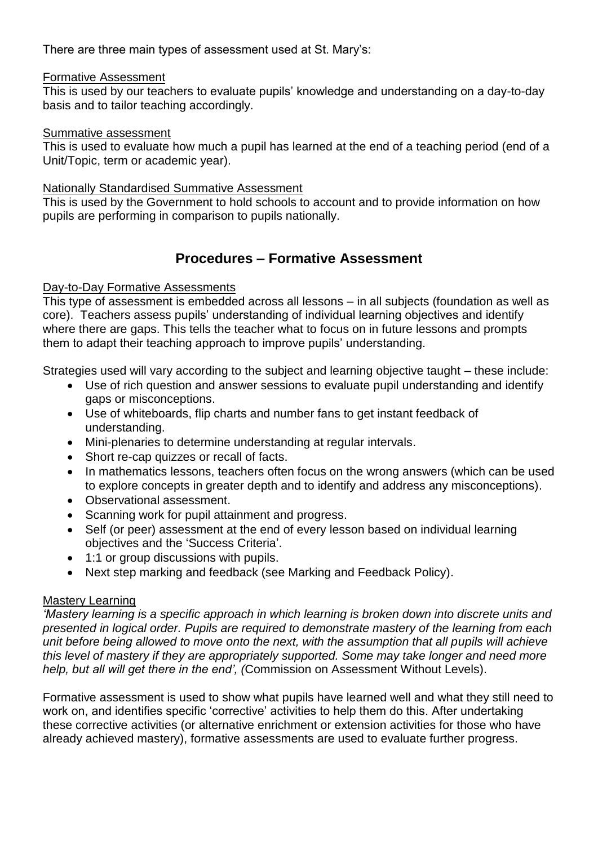There are three main types of assessment used at St. Mary's:

#### Formative Assessment

This is used by our teachers to evaluate pupils' knowledge and understanding on a day-to-day basis and to tailor teaching accordingly.

#### Summative assessment

This is used to evaluate how much a pupil has learned at the end of a teaching period (end of a Unit/Topic, term or academic year).

#### Nationally Standardised Summative Assessment

This is used by the Government to hold schools to account and to provide information on how pupils are performing in comparison to pupils nationally.

### **Procedures – Formative Assessment**

#### Day-to-Day Formative Assessments

This type of assessment is embedded across all lessons – in all subjects (foundation as well as core). Teachers assess pupils' understanding of individual learning objectives and identify where there are gaps. This tells the teacher what to focus on in future lessons and prompts them to adapt their teaching approach to improve pupils' understanding.

Strategies used will vary according to the subject and learning objective taught – these include:

- Use of rich question and answer sessions to evaluate pupil understanding and identify gaps or misconceptions.
- Use of whiteboards, flip charts and number fans to get instant feedback of understanding.
- Mini-plenaries to determine understanding at regular intervals.
- Short re-cap quizzes or recall of facts.
- In mathematics lessons, teachers often focus on the wrong answers (which can be used to explore concepts in greater depth and to identify and address any misconceptions).
- Observational assessment.
- Scanning work for pupil attainment and progress.
- Self (or peer) assessment at the end of every lesson based on individual learning objectives and the 'Success Criteria'.
- 1:1 or group discussions with pupils.
- Next step marking and feedback (see Marking and Feedback Policy).

#### Mastery Learning

*'Mastery learning is a specific approach in which learning is broken down into discrete units and presented in logical order. Pupils are required to demonstrate mastery of the learning from each unit before being allowed to move onto the next, with the assumption that all pupils will achieve this level of mastery if they are appropriately supported. Some may take longer and need more help, but all will get there in the end', (*Commission on Assessment Without Levels).

Formative assessment is used to show what pupils have learned well and what they still need to work on, and identifies specific 'corrective' activities to help them do this. After undertaking these corrective activities (or alternative enrichment or extension activities for those who have already achieved mastery), formative assessments are used to evaluate further progress.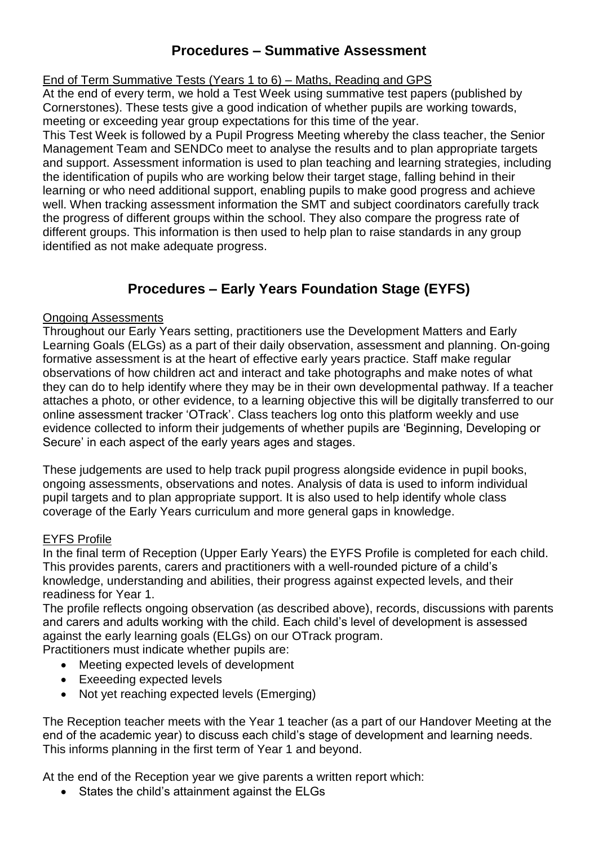### **Procedures – Summative Assessment**

#### End of Term Summative Tests (Years 1 to 6) – Maths, Reading and GPS

At the end of every term, we hold a Test Week using summative test papers (published by Cornerstones). These tests give a good indication of whether pupils are working towards, meeting or exceeding year group expectations for this time of the year.

This Test Week is followed by a Pupil Progress Meeting whereby the class teacher, the Senior Management Team and SENDCo meet to analyse the results and to plan appropriate targets and support. Assessment information is used to plan teaching and learning strategies, including the identification of pupils who are working below their target stage, falling behind in their learning or who need additional support, enabling pupils to make good progress and achieve well. When tracking assessment information the SMT and subject coordinators carefully track the progress of different groups within the school. They also compare the progress rate of different groups. This information is then used to help plan to raise standards in any group identified as not make adequate progress.

# **Procedures – Early Years Foundation Stage (EYFS)**

#### Ongoing Assessments

Throughout our Early Years setting, practitioners use the Development Matters and Early Learning Goals (ELGs) as a part of their daily observation, assessment and planning. On-going formative assessment is at the heart of effective early years practice. Staff make regular observations of how children act and interact and take photographs and make notes of what they can do to help identify where they may be in their own developmental pathway. If a teacher attaches a photo, or other evidence, to a learning objective this will be digitally transferred to our online assessment tracker 'OTrack'. Class teachers log onto this platform weekly and use evidence collected to inform their judgements of whether pupils are 'Beginning, Developing or Secure' in each aspect of the early years ages and stages.

These judgements are used to help track pupil progress alongside evidence in pupil books, ongoing assessments, observations and notes. Analysis of data is used to inform individual pupil targets and to plan appropriate support. It is also used to help identify whole class coverage of the Early Years curriculum and more general gaps in knowledge.

#### EYFS Profile

In the final term of Reception (Upper Early Years) the EYFS Profile is completed for each child. This provides parents, carers and practitioners with a well-rounded picture of a child's knowledge, understanding and abilities, their progress against expected levels, and their readiness for Year 1.

The profile reflects ongoing observation (as described above), records, discussions with parents and carers and adults working with the child. Each child's level of development is assessed against the early learning goals (ELGs) on our OTrack program.

Practitioners must indicate whether pupils are:

- Meeting expected levels of development
- Exeeeding expected levels
- Not yet reaching expected levels (Emerging)

The Reception teacher meets with the Year 1 teacher (as a part of our Handover Meeting at the end of the academic year) to discuss each child's stage of development and learning needs. This informs planning in the first term of Year 1 and beyond.

At the end of the Reception year we give parents a written report which:

• States the child's attainment against the ELGs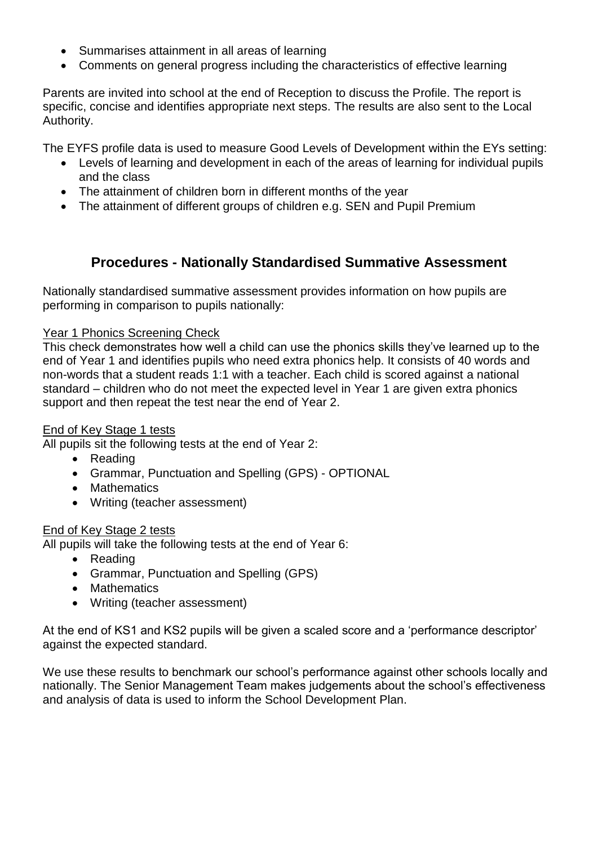- Summarises attainment in all areas of learning
- Comments on general progress including the characteristics of effective learning

Parents are invited into school at the end of Reception to discuss the Profile. The report is specific, concise and identifies appropriate next steps. The results are also sent to the Local Authority.

The EYFS profile data is used to measure Good Levels of Development within the EYs setting:

- Levels of learning and development in each of the areas of learning for individual pupils and the class
- The attainment of children born in different months of the year
- The attainment of different groups of children e.g. SEN and Pupil Premium

### **Procedures - Nationally Standardised Summative Assessment**

Nationally standardised summative assessment provides information on how pupils are performing in comparison to pupils nationally:

#### Year 1 Phonics Screening Check

This check demonstrates how well a child can use the phonics skills they've learned up to the end of Year 1 and identifies pupils who need extra phonics help. It consists of 40 words and non-words that a student reads 1:1 with a teacher. Each child is scored against a national standard – children who do not meet the expected level in Year 1 are given extra phonics support and then repeat the test near the end of Year 2.

#### End of Key Stage 1 tests

All pupils sit the following tests at the end of Year 2:

- Reading
- Grammar, Punctuation and Spelling (GPS) OPTIONAL
- Mathematics
- Writing (teacher assessment)

#### End of Key Stage 2 tests

All pupils will take the following tests at the end of Year 6:

- Reading
- Grammar, Punctuation and Spelling (GPS)
- Mathematics
- Writing (teacher assessment)

At the end of KS1 and KS2 pupils will be given a scaled score and a 'performance descriptor' against the expected standard.

We use these results to benchmark our school's performance against other schools locally and nationally. The Senior Management Team makes judgements about the school's effectiveness and analysis of data is used to inform the School Development Plan.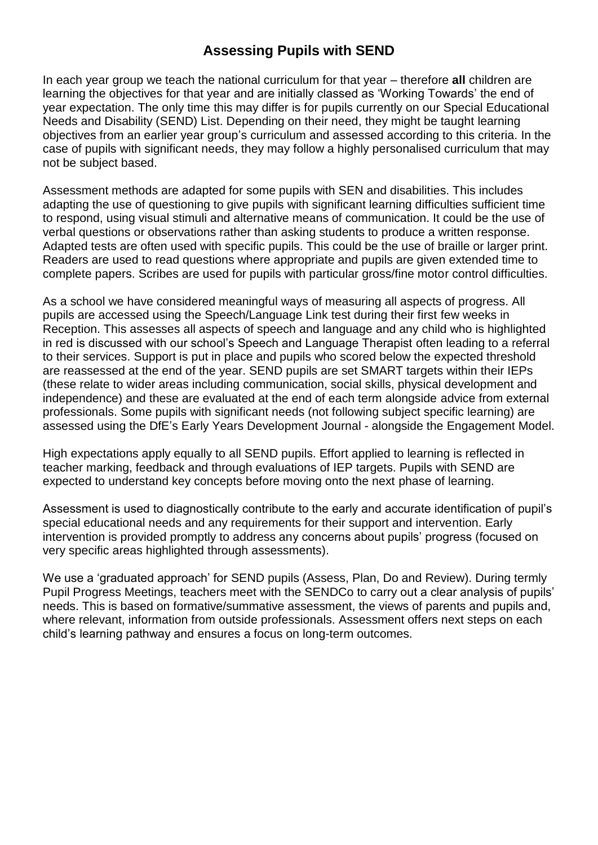### **Assessing Pupils with SEND**

In each year group we teach the national curriculum for that year – therefore **all** children are learning the objectives for that year and are initially classed as 'Working Towards' the end of year expectation. The only time this may differ is for pupils currently on our Special Educational Needs and Disability (SEND) List. Depending on their need, they might be taught learning objectives from an earlier year group's curriculum and assessed according to this criteria. In the case of pupils with significant needs, they may follow a highly personalised curriculum that may not be subject based.

Assessment methods are adapted for some pupils with SEN and disabilities. This includes adapting the use of questioning to give pupils with significant learning difficulties sufficient time to respond, using visual stimuli and alternative means of communication. It could be the use of verbal questions or observations rather than asking students to produce a written response. Adapted tests are often used with specific pupils. This could be the use of braille or larger print. Readers are used to read questions where appropriate and pupils are given extended time to complete papers. Scribes are used for pupils with particular gross/fine motor control difficulties.

As a school we have considered meaningful ways of measuring all aspects of progress. All pupils are accessed using the Speech/Language Link test during their first few weeks in Reception. This assesses all aspects of speech and language and any child who is highlighted in red is discussed with our school's Speech and Language Therapist often leading to a referral to their services. Support is put in place and pupils who scored below the expected threshold are reassessed at the end of the year. SEND pupils are set SMART targets within their IEPs (these relate to wider areas including communication, social skills, physical development and independence) and these are evaluated at the end of each term alongside advice from external professionals. Some pupils with significant needs (not following subject specific learning) are assessed using the DfE's Early Years Development Journal - alongside the Engagement Model.

High expectations apply equally to all SEND pupils. Effort applied to learning is reflected in teacher marking, feedback and through evaluations of IEP targets. Pupils with SEND are expected to understand key concepts before moving onto the next phase of learning.

Assessment is used to diagnostically contribute to the early and accurate identification of pupil's special educational needs and any requirements for their support and intervention. Early intervention is provided promptly to address any concerns about pupils' progress (focused on very specific areas highlighted through assessments).

We use a 'graduated approach' for SEND pupils (Assess, Plan, Do and Review). During termly Pupil Progress Meetings, teachers meet with the SENDCo to carry out a clear analysis of pupils' needs. This is based on formative/summative assessment, the views of parents and pupils and, where relevant, information from outside professionals. Assessment offers next steps on each child's learning pathway and ensures a focus on long-term outcomes.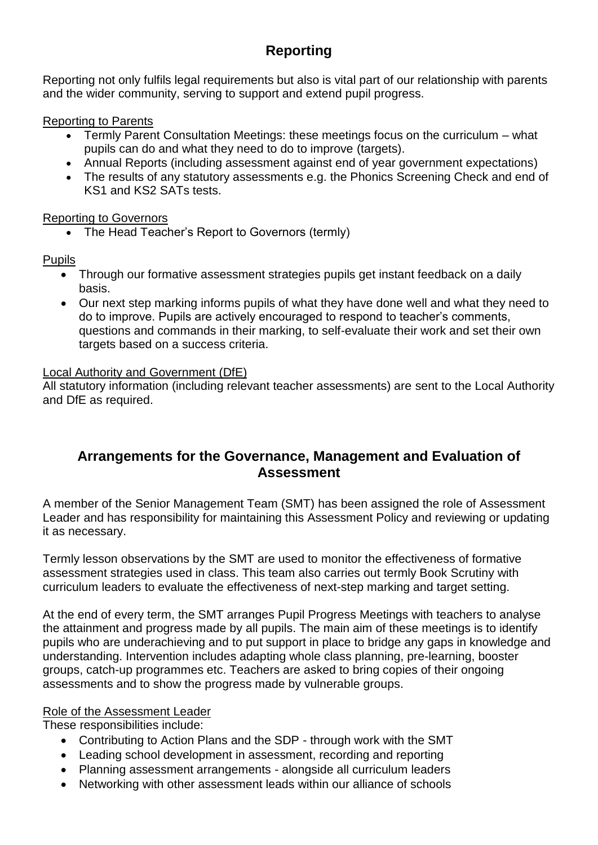# **Reporting**

Reporting not only fulfils legal requirements but also is vital part of our relationship with parents and the wider community, serving to support and extend pupil progress.

Reporting to Parents

- Termly Parent Consultation Meetings: these meetings focus on the curriculum what pupils can do and what they need to do to improve (targets).
- Annual Reports (including assessment against end of year government expectations)
- The results of any statutory assessments e.g. the Phonics Screening Check and end of KS1 and KS2 SATs tests.

#### Reporting to Governors

• The Head Teacher's Report to Governors (termly)

#### Pupils

- Through our formative assessment strategies pupils get instant feedback on a daily basis.
- Our next step marking informs pupils of what they have done well and what they need to do to improve. Pupils are actively encouraged to respond to teacher's comments, questions and commands in their marking, to self-evaluate their work and set their own targets based on a success criteria.

#### Local Authority and Government (DfE)

All statutory information (including relevant teacher assessments) are sent to the Local Authority and DfE as required.

### **Arrangements for the Governance, Management and Evaluation of Assessment**

A member of the Senior Management Team (SMT) has been assigned the role of Assessment Leader and has responsibility for maintaining this Assessment Policy and reviewing or updating it as necessary.

Termly lesson observations by the SMT are used to monitor the effectiveness of formative assessment strategies used in class. This team also carries out termly Book Scrutiny with curriculum leaders to evaluate the effectiveness of next-step marking and target setting.

At the end of every term, the SMT arranges Pupil Progress Meetings with teachers to analyse the attainment and progress made by all pupils. The main aim of these meetings is to identify pupils who are underachieving and to put support in place to bridge any gaps in knowledge and understanding. Intervention includes adapting whole class planning, pre-learning, booster groups, catch-up programmes etc. Teachers are asked to bring copies of their ongoing assessments and to show the progress made by vulnerable groups.

#### Role of the Assessment Leader

These responsibilities include:

- Contributing to Action Plans and the SDP through work with the SMT
- Leading school development in assessment, recording and reporting
- Planning assessment arrangements alongside all curriculum leaders
- Networking with other assessment leads within our alliance of schools